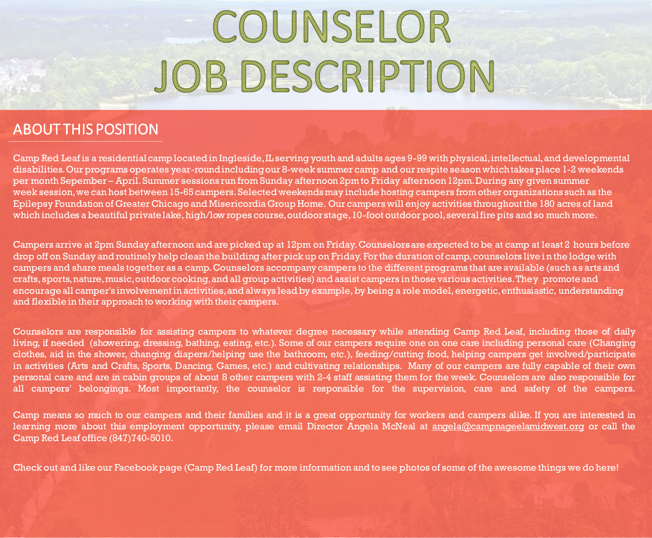# COUNSELOR JOBDESCRIPTION

#### ABOUT THIS POSITION

Camp Red Leaf is a residential camp located in Ingleside, IL serving youth and adults ages 9-99 with physical, intellectual, and developmental disabilities. Our programs operates year-round including our 8-week summer camp and our respite season which takes place 1-2 weekends per month Sepember – April.Summer sessions run from Sunday afternoon 2pm to Friday afternoon 12pm. During any given summer week session, we can host between 15-65 campers.Selected weekends may include hosting campers from other organizations such as the Epilepsy Foundation of Greater Chicago and Misericordia Group Home. Our campers will enjoy activities throughout the 180 acres of land which includes a beautiful private lake, high/low ropes course, outdoor stage, 10-foot outdoor pool, several fire pits and so much more.

Campers arrive at 2pm Sunday afternoon and are picked up at 12pm on Friday. Counselors are expected to be at camp at least 2 hours before drop off on Sunday and routinely help clean the building after pick up on Friday. For the duration of camp, counselors live i n the lodge with campers and share meals together as a camp. Counselors accompany campers to the different programs that are available (such as arts and crafts, sports, nature, music, outdoor cooking, and all group activities) and assist campers in those various activities. They promote and encourage all camper's involvement in activities, and always lead by example, by being a role model, energetic, enthusiastic, understanding and flexible in their approach to working with their campers.

Counselors are responsible for assisting campers to whatever degree necessary while attending Camp Red Leaf, including those of daily living, if needed (showering, dressing, bathing, eating, etc.). Some of our campers require one on one care including personal care (Changing clothes, aid in the shower, changing diapers/helping use the bathroom, etc.), feeding/cutting food, helping campers get involved/participate in activities (Arts and Crafts, Sports, Dancing, Games, etc.) and cultivating relationships. Many of our campers are fully capable of their own personal care and are in cabin groups of about 8 other campers with 2-4 staff assisting them for the week. Counselors are also responsible for all campers' belongings. Most importantly, the counselor is responsible for the supervision, care and safety of the campers.

Camp means so much to our campers and their families and it is a great opportunity for workers and campers alike. If you are interested in learning more about this employment opportunity, please email Director Angela McNeal at angela@campnageelamidwest.org or call the Camp Red Leaf office (847)740-5010.

Check out and like our Facebook page (Camp Red Leaf) for more information and to see photos of some of the awesome things we do here!